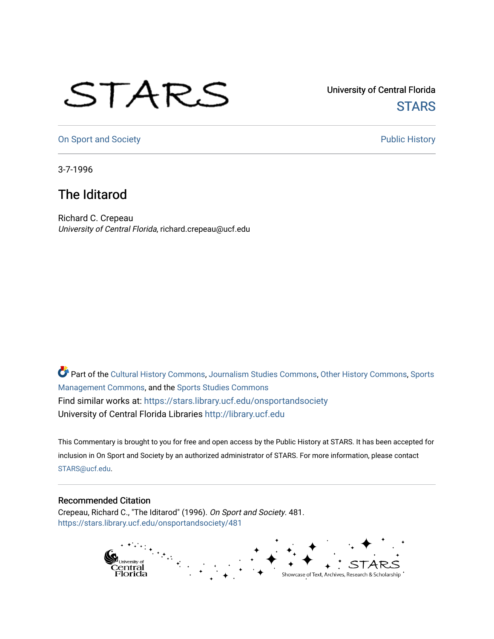## STARS

University of Central Florida **STARS** 

[On Sport and Society](https://stars.library.ucf.edu/onsportandsociety) **Public History** Public History

3-7-1996

## The Iditarod

Richard C. Crepeau University of Central Florida, richard.crepeau@ucf.edu

Part of the [Cultural History Commons](http://network.bepress.com/hgg/discipline/496?utm_source=stars.library.ucf.edu%2Fonsportandsociety%2F481&utm_medium=PDF&utm_campaign=PDFCoverPages), [Journalism Studies Commons,](http://network.bepress.com/hgg/discipline/333?utm_source=stars.library.ucf.edu%2Fonsportandsociety%2F481&utm_medium=PDF&utm_campaign=PDFCoverPages) [Other History Commons,](http://network.bepress.com/hgg/discipline/508?utm_source=stars.library.ucf.edu%2Fonsportandsociety%2F481&utm_medium=PDF&utm_campaign=PDFCoverPages) [Sports](http://network.bepress.com/hgg/discipline/1193?utm_source=stars.library.ucf.edu%2Fonsportandsociety%2F481&utm_medium=PDF&utm_campaign=PDFCoverPages) [Management Commons](http://network.bepress.com/hgg/discipline/1193?utm_source=stars.library.ucf.edu%2Fonsportandsociety%2F481&utm_medium=PDF&utm_campaign=PDFCoverPages), and the [Sports Studies Commons](http://network.bepress.com/hgg/discipline/1198?utm_source=stars.library.ucf.edu%2Fonsportandsociety%2F481&utm_medium=PDF&utm_campaign=PDFCoverPages) Find similar works at: <https://stars.library.ucf.edu/onsportandsociety> University of Central Florida Libraries [http://library.ucf.edu](http://library.ucf.edu/) 

This Commentary is brought to you for free and open access by the Public History at STARS. It has been accepted for inclusion in On Sport and Society by an authorized administrator of STARS. For more information, please contact [STARS@ucf.edu](mailto:STARS@ucf.edu).

## Recommended Citation

Crepeau, Richard C., "The Iditarod" (1996). On Sport and Society. 481. [https://stars.library.ucf.edu/onsportandsociety/481](https://stars.library.ucf.edu/onsportandsociety/481?utm_source=stars.library.ucf.edu%2Fonsportandsociety%2F481&utm_medium=PDF&utm_campaign=PDFCoverPages)

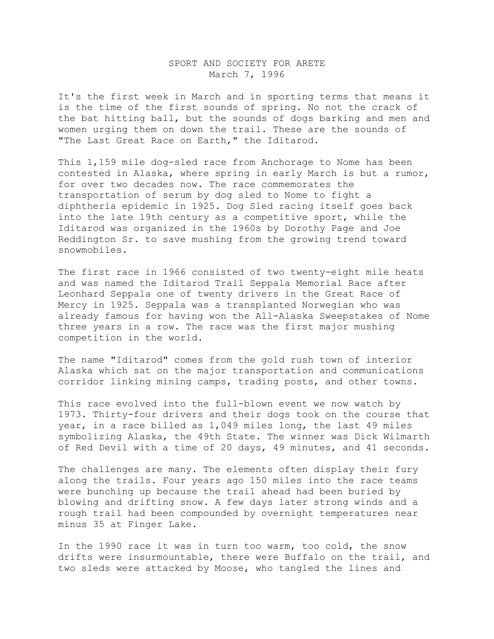## SPORT AND SOCIETY FOR ARETE March 7, 1996

It's the first week in March and in sporting terms that means it is the time of the first sounds of spring. No not the crack of the bat hitting ball, but the sounds of dogs barking and men and women urging them on down the trail. These are the sounds of "The Last Great Race on Earth," the Iditarod.

This 1,159 mile dog-sled race from Anchorage to Nome has been contested in Alaska, where spring in early March is but a rumor, for over two decades now. The race commemorates the transportation of serum by dog sled to Nome to fight a diphtheria epidemic in 1925. Dog Sled racing itself goes back into the late 19th century as a competitive sport, while the Iditarod was organized in the 1960s by Dorothy Page and Joe Reddington Sr. to save mushing from the growing trend toward snowmobiles.

The first race in 1966 consisted of two twenty-eight mile heats and was named the Iditarod Trail Seppala Memorial Race after Leonhard Seppala one of twenty drivers in the Great Race of Mercy in 1925. Seppala was a transplanted Norwegian who was already famous for having won the All-Alaska Sweepstakes of Nome three years in a row. The race was the first major mushing competition in the world.

The name "Iditarod" comes from the gold rush town of interior Alaska which sat on the major transportation and communications corridor linking mining camps, trading posts, and other towns.

This race evolved into the full-blown event we now watch by 1973. Thirty-four drivers and their dogs took on the course that year, in a race billed as 1,049 miles long, the last 49 miles symbolizing Alaska, the 49th State. The winner was Dick Wilmarth of Red Devil with a time of 20 days, 49 minutes, and 41 seconds.

The challenges are many. The elements often display their fury along the trails. Four years ago 150 miles into the race teams were bunching up because the trail ahead had been buried by blowing and drifting snow. A few days later strong winds and a rough trail had been compounded by overnight temperatures near minus 35 at Finger Lake.

In the 1990 race it was in turn too warm, too cold, the snow drifts were insurmountable, there were Buffalo on the trail, and two sleds were attacked by Moose, who tangled the lines and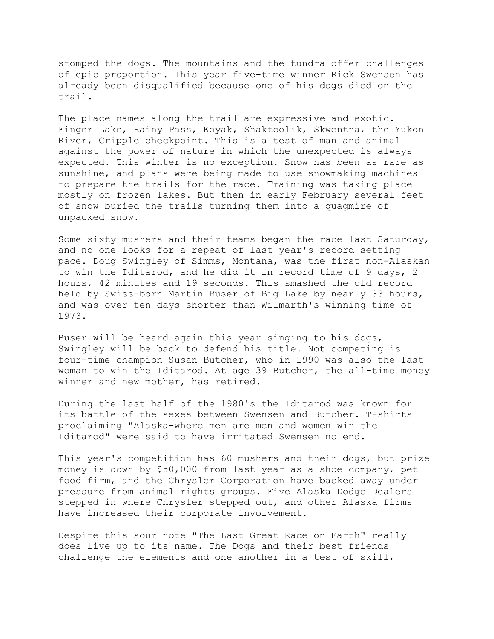stomped the dogs. The mountains and the tundra offer challenges of epic proportion. This year five-time winner Rick Swensen has already been disqualified because one of his dogs died on the trail.

The place names along the trail are expressive and exotic. Finger Lake, Rainy Pass, Koyak, Shaktoolik, Skwentna, the Yukon River, Cripple checkpoint. This is a test of man and animal against the power of nature in which the unexpected is always expected. This winter is no exception. Snow has been as rare as sunshine, and plans were being made to use snowmaking machines to prepare the trails for the race. Training was taking place mostly on frozen lakes. But then in early February several feet of snow buried the trails turning them into a quagmire of unpacked snow.

Some sixty mushers and their teams began the race last Saturday, and no one looks for a repeat of last year's record setting pace. Doug Swingley of Simms, Montana, was the first non-Alaskan to win the Iditarod, and he did it in record time of 9 days, 2 hours, 42 minutes and 19 seconds. This smashed the old record held by Swiss-born Martin Buser of Big Lake by nearly 33 hours, and was over ten days shorter than Wilmarth's winning time of 1973.

Buser will be heard again this year singing to his dogs, Swingley will be back to defend his title. Not competing is four-time champion Susan Butcher, who in 1990 was also the last woman to win the Iditarod. At age 39 Butcher, the all-time money winner and new mother, has retired.

During the last half of the 1980's the Iditarod was known for its battle of the sexes between Swensen and Butcher. T-shirts proclaiming "Alaska-where men are men and women win the Iditarod" were said to have irritated Swensen no end.

This year's competition has 60 mushers and their dogs, but prize money is down by \$50,000 from last year as a shoe company, pet food firm, and the Chrysler Corporation have backed away under pressure from animal rights groups. Five Alaska Dodge Dealers stepped in where Chrysler stepped out, and other Alaska firms have increased their corporate involvement.

Despite this sour note "The Last Great Race on Earth" really does live up to its name. The Dogs and their best friends challenge the elements and one another in a test of skill,